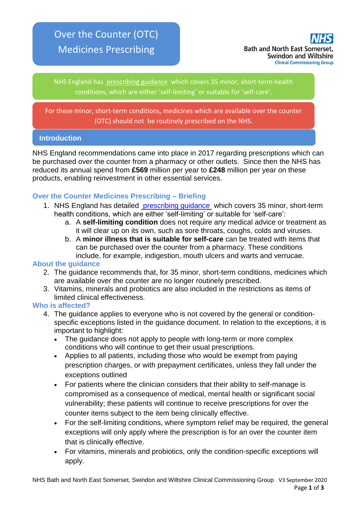# Over the Counter (OTC) Medicines Prescribing



NHS England has [prescribing guidance](https://www.england.nhs.uk/medicines/conditions-for-which-over-the-counter-items-should-not-routinely-be-prescribed/) which covers 35 minor, short-term health conditions, which are either 'self-limiting' or suitable for 'self-care'.

For these minor, short-term conditions, medicines which are available over the counter (OTC) should not be routinely prescribed on the NHS.

### **Introduction**

NHS England recommendations came into place in 2017 regarding prescriptions which can be purchased over the counter from a pharmacy or other outlets. Since then the NHS has reduced its annual spend from **£569** million per year to **£248** million per year on these products, enabling reinvestment in other essential services.

## **Over the Counter Medicines Prescribing – Briefing**

- 1. NHS England has detailed [prescribing guidance](https://www.england.nhs.uk/medicines/conditions-for-which-over-the-counter-items-should-not-routinely-be-prescribed/) which covers 35 minor, short-term health conditions, which are either 'self-limiting' or suitable for 'self-care':
	- a. A **self-limiting condition** does not require any medical advice or treatment as it will clear up on its own, such as sore throats, coughs, colds and viruses.
	- b. A **minor illness that is suitable for self-care** can be treated with items that can be purchased over the counter from a pharmacy. These conditions include, for example, indigestion, mouth ulcers and warts and verrucae.

#### **About the guidance**

- 2. The guidance recommends that, for 35 minor, short-term conditions, medicines which are available over the counter are no longer routinely prescribed.
- 3. Vitamins, minerals and probiotics are also included in the restrictions as items of limited clinical effectiveness.

#### **Who is affected?**

- 4. The guidance applies to everyone who is not covered by the general or conditionspecific exceptions listed in the guidance document. In relation to the exceptions, it is important to highlight:
	- The quidance does not apply to people with long-term or more complex conditions who will continue to get their usual prescriptions.
	- Applies to all patients, including those who would be exempt from paying prescription charges, or with prepayment certificates, unless they fall under the exceptions outlined
	- For patients where the clinician considers that their ability to self-manage is compromised as a consequence of medical, mental health or significant social vulnerability; these patients will continue to receive prescriptions for over the counter items subject to the item being clinically effective.
	- For the self-limiting conditions, where symptom relief may be required, the general exceptions will only apply where the prescription is for an over the counter item that is clinically effective.
	- For vitamins, minerals and probiotics, only the condition-specific exceptions will apply.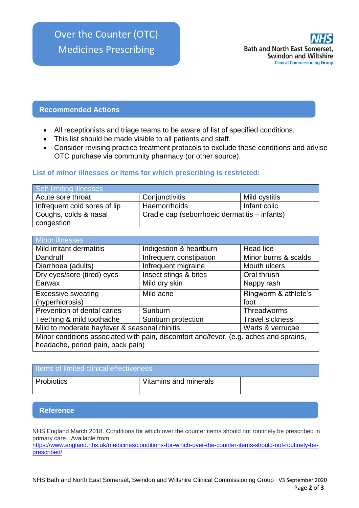

#### **Recommended Actions**

- All receptionists and triage teams to be aware of list of specified conditions.
- This list should be made visible to all patients and staff.
- Consider revising practice treatment protocols to exclude these conditions and advise OTC purchase via community pharmacy (or other source).

#### **List of minor illnesses or items for which prescribing is restricted:**

| Self-limiting illnesses      |                                               |               |
|------------------------------|-----------------------------------------------|---------------|
| Acute sore throat            | Conjunctivitis                                | Mild cystitis |
| Infrequent cold sores of lip | Haemorrhoids                                  | Infant colic  |
| Coughs, colds & nasal        | Cradle cap (seborrhoeic dermatitis – infants) |               |
| congestion                   |                                               |               |

| <b>Minor illnesses</b>                                                                |                         |                        |  |
|---------------------------------------------------------------------------------------|-------------------------|------------------------|--|
| Mild irritant dermatitis                                                              | Indigestion & heartburn | Head lice              |  |
| Dandruff                                                                              | Infrequent constipation | Minor burns & scalds   |  |
| Diarrhoea (adults)                                                                    | Infrequent migraine     | Mouth ulcers           |  |
| Dry eyes/sore (tired) eyes                                                            | Insect stings & bites   | Oral thrush            |  |
| Earwax                                                                                | Mild dry skin           | Nappy rash             |  |
| <b>Excessive sweating</b>                                                             | Mild acne               | Ringworm & athlete's   |  |
| (hyperhidrosis)                                                                       |                         | foot                   |  |
| Prevention of dental caries                                                           | Sunburn                 | Threadworms            |  |
| Teething & mild toothache                                                             | Sunburn protection      | <b>Travel sickness</b> |  |
| Mild to moderate hayfever & seasonal rhinitis                                         |                         | Warts & verrucae       |  |
| Minor conditions associated with pain, discomfort and/fever. (e.g. aches and sprains, |                         |                        |  |
| headache, period pain, back pain)                                                     |                         |                        |  |

| Items of limited clinical effectiveness |                       |  |  |
|-----------------------------------------|-----------------------|--|--|
| Probiotics                              | Vitamins and minerals |  |  |

#### **Reference**

NHS England March 2018. Conditions for which over the counter items should not routinely be prescribed in primary care. Available from:

[https://www.england.nhs.uk/medicines/conditions-for-which-over-the-counter-items-should-not-routinely-be](https://www.england.nhs.uk/medicines/conditions-for-which-over-the-counter-items-should-not-routinely-be-prescribed/)[prescribed/](https://www.england.nhs.uk/medicines/conditions-for-which-over-the-counter-items-should-not-routinely-be-prescribed/)